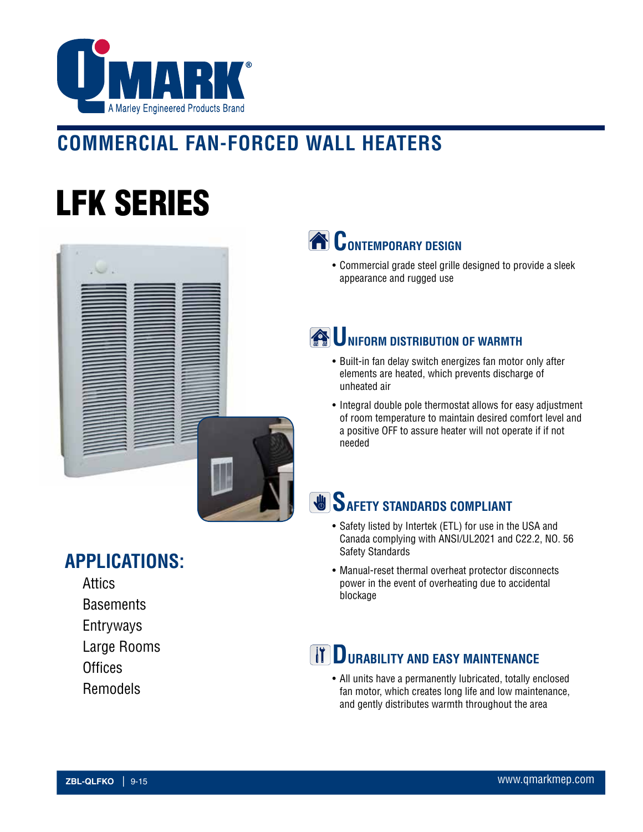

## **COMMERCIAL FAN-FORCED WALL HEATERS**

# LFK SERIES



### **CONTEMPORARY DESIGN**

• Commercial grade steel grille designed to provide a sleek appearance and rugged use

## **WE UNIFORM DISTRIBUTION OF WARMTH**

- Built-in fan delay switch energizes fan motor only after elements are heated, which prevents discharge of unheated air
- Integral double pole thermostat allows for easy adjustment of room temperature to maintain desired comfort level and a positive OFF to assure heater will not operate if if not needed

## **SAFETY STANDARDS COMPLIANT**

- Safety listed by Intertek (ETL) for use in the USA and Canada complying with ANSI/UL2021 and C22.2, NO. 56 Safety Standards
- Manual-reset thermal overheat protector disconnects power in the event of overheating due to accidental blockage

### **TT DURABILITY AND EASY MAINTENANCE**

• All units have a permanently lubricated, totally enclosed fan motor, which creates long life and low maintenance, and gently distributes warmth throughout the area

#### **APPLICATIONS:**

- Attics
- **Basements**
- Entryways
- Large Rooms
- **Offices**
- Remodels